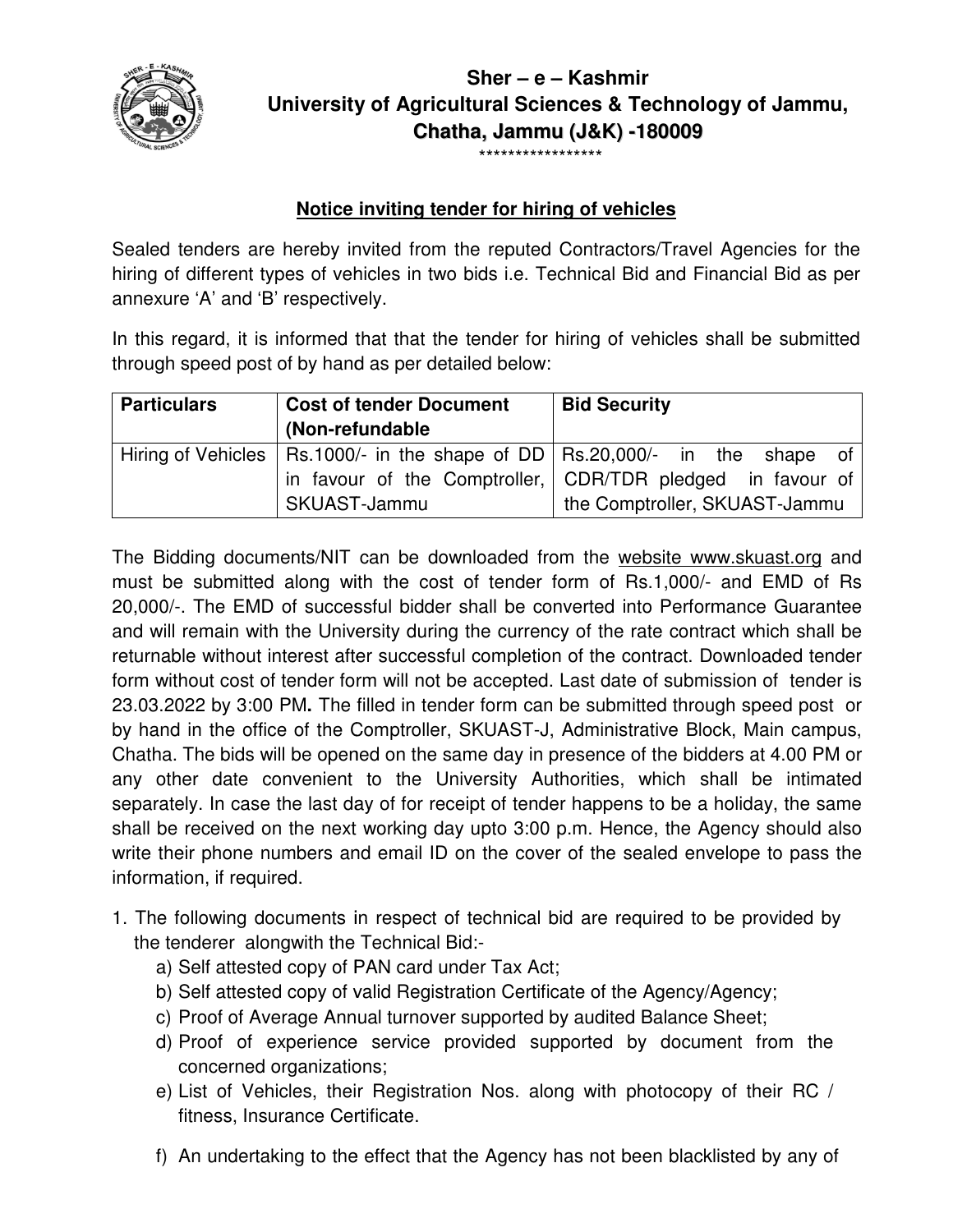

# **University of Agricultural Sciences & Technology of Jammu, Sher – e – Kashmir Chatha, Jammu (J&K) -180009**

# \*\*\*\*\*\*\*\*\*\*\*\*\*\*\*\*\*

## **Notice inviting tender for hiring of vehicles**

Sealed tenders are hereby invited from the reputed Contractors/Travel Agencies hiring of different types of vehicles in two bids i.e. Technical Bid and Financial Bid as per annexure 'A' and 'B' respectively. hiring of different types of vehicles in two bids i.e. Technical Bid and Financial Bid as per<br>annexure 'A' and 'B' respectively.<br>In this regard, it is informed that that the tender for hiring of vehicles shall be submitted

through speed post of by hand as per detailed below:

| <b>Particulars</b> | <b>Cost of tender Document</b> | <b>Bid Security</b>                                                             |
|--------------------|--------------------------------|---------------------------------------------------------------------------------|
|                    | (Non-refundable)               |                                                                                 |
|                    |                                | Hiring of Vehicles   Rs.1000/- in the shape of DD   Rs.20,000/- in the shape of |
|                    |                                | in favour of the Comptroller, CDR/TDR pledged in favour of                      |
|                    | SKUAST-Jammu                   | the Comptroller, SKUAST-Jammu                                                   |

The Bidding documents/NIT can be downloaded from the website www.skuast.org and must be submitted along with the cost of tender form of Rs.1,000/- and EMD of Rs 20,000/-. The EMD of successful bidder shall be converted into Performance Guarantee 20,000/-. The EMD of successful bidder shall be converted into Performance Guarantee<br>and will remain with the University during the currency of the rate contract which shall be returnable without interest after successful completion of the contract. Downloaded tender and will remain with the University during the currency of the rate contract which shall be<br>returnable without interest after successful completion of the contract. Downloaded tender<br>form without cost of tender form will n 23.03.2022 by 3:00 PM**.** The filled in tender form can be in be submitted through speed post or by hand in the office of the Comptroller, SKUAST-J, Administrative Block, Main campus, by hand in the office of the Comptroller, SKUAST-J, Administrative Block, Main campus,<br>Chatha. The bids will be opened on the same day in presence of the bidders at 4.00 PM or any other date convenient to the University Authorities, which shall be intimated separately. In case the last day of for receipt of tender happens to be a holiday, the same separately. In case the last day of for receipt of tender happens to be a holiday,<br>shall be received on the next working day upto 3:00 p.m. Hence, the Agency sh write their phone numbers and email ID on the cover of the sealed envelope to pass the information, if required. Contractors/Travel Agencies for the<br>chnical Bid and Financial Bid as per<br>hiring of vehicles shall be submitted<br>**Bid Security**<br>Rs.20,000/- in the shape of<br>CDR/TDR pledged in favour of<br>the Comptroller, SKUAST-Jammu<br>om the <u>w</u> , which shall be intimated<br>ens to be a holiday, the same<br>ence, the Agency should also sealed envelope to pass th<br>equired to be provided by

- 1. The following documents in respect of technical bid are required to be the tenderer alongwith the Technical Bid:the tenderer alongwith the Technical Bid:
	- a) Self attested copy of PAN card under Tax Act;
	- b) Self attested copy of valid Registration Certificate of the Agency/Agency;
	- c) Proof of Average Annual turnover supported by audited Balance Sheet;
	- d) Proof of experience service provided supported by document from the concerned organizations; d) Proof of experience service provided supported by document from the<br>concerned organizations;<br>e) List of Vehicles, their Registration Nos. along with photocopy of their RC /
	- fitness, Insurance Certificate Certificate. e) List of Vehicles, their Registration Nos. along with photocopy of their RC /<br>fitness, Insurance Certificate.<br>f) An undertaking to the effect that the Agency has not been blacklisted by any of
	-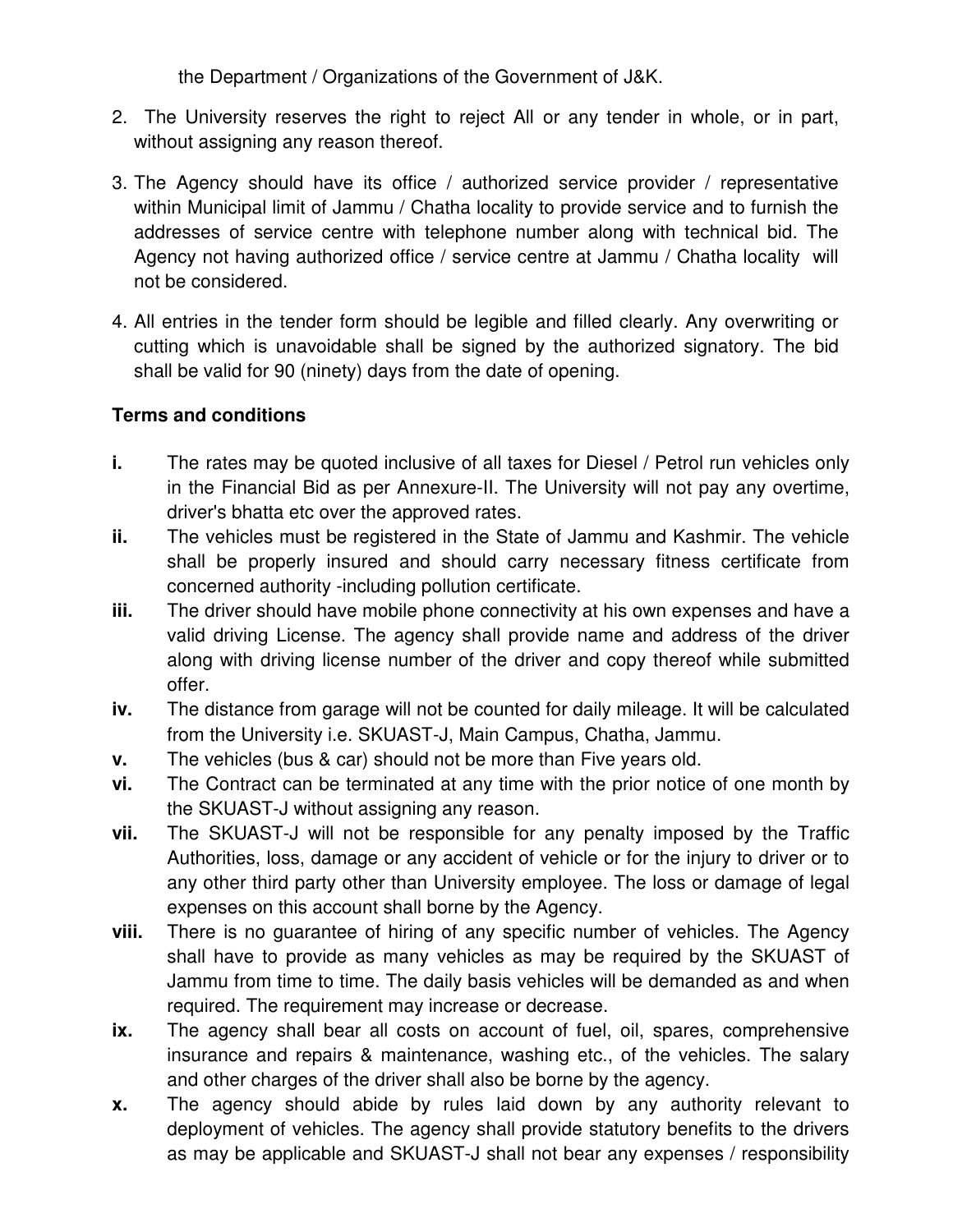the Department / Organizations of the Government of J&K.

- 2. The University reserves the right to reject All or any tender in whole, or in part, without assigning any reason thereof.
- 3. The Agency should have its office / authorized service provider / representative within Municipal limit of Jammu / Chatha locality to provide service and to furnish the addresses of service centre with telephone number along with technical bid. The Agency not having authorized office / service centre at Jammu / Chatha locality will not be considered.
- 4. All entries in the tender form should be legible and filled clearly. Any overwriting or cutting which is unavoidable shall be signed by the authorized signatory. The bid shall be valid for 90 (ninety) days from the date of opening.

### **Terms and conditions**

- **i.** The rates may be quoted inclusive of all taxes for Diesel / Petrol run vehicles only in the Financial Bid as per Annexure-II. The University will not pay any overtime, driver's bhatta etc over the approved rates.
- **ii.** The vehicles must be registered in the State of Jammu and Kashmir. The vehicle shall be properly insured and should carry necessary fitness certificate from concerned authority -including pollution certificate.
- **iii.** The driver should have mobile phone connectivity at his own expenses and have a valid driving License. The agency shall provide name and address of the driver along with driving license number of the driver and copy thereof while submitted offer.
- **iv.** The distance from garage will not be counted for daily mileage. It will be calculated from the University i.e. SKUAST-J, Main Campus, Chatha, Jammu.
- **v.** The vehicles (bus & car) should not be more than Five years old.
- **vi.** The Contract can be terminated at any time with the prior notice of one month by the SKUAST-J without assigning any reason.
- **vii.** The SKUAST-J will not be responsible for any penalty imposed by the Traffic Authorities, loss, damage or any accident of vehicle or for the injury to driver or to any other third party other than University employee. The loss or damage of legal expenses on this account shall borne by the Agency.
- **viii.** There is no guarantee of hiring of any specific number of vehicles. The Agency shall have to provide as many vehicles as may be required by the SKUAST of Jammu from time to time. The daily basis vehicles will be demanded as and when required. The requirement may increase or decrease.
- **ix.** The agency shall bear all costs on account of fuel, oil, spares, comprehensive insurance and repairs & maintenance, washing etc., of the vehicles. The salary and other charges of the driver shall also be borne by the agency.
- **x.** The agency should abide by rules laid down by any authority relevant to deployment of vehicles. The agency shall provide statutory benefits to the drivers as may be applicable and SKUAST-J shall not bear any expenses / responsibility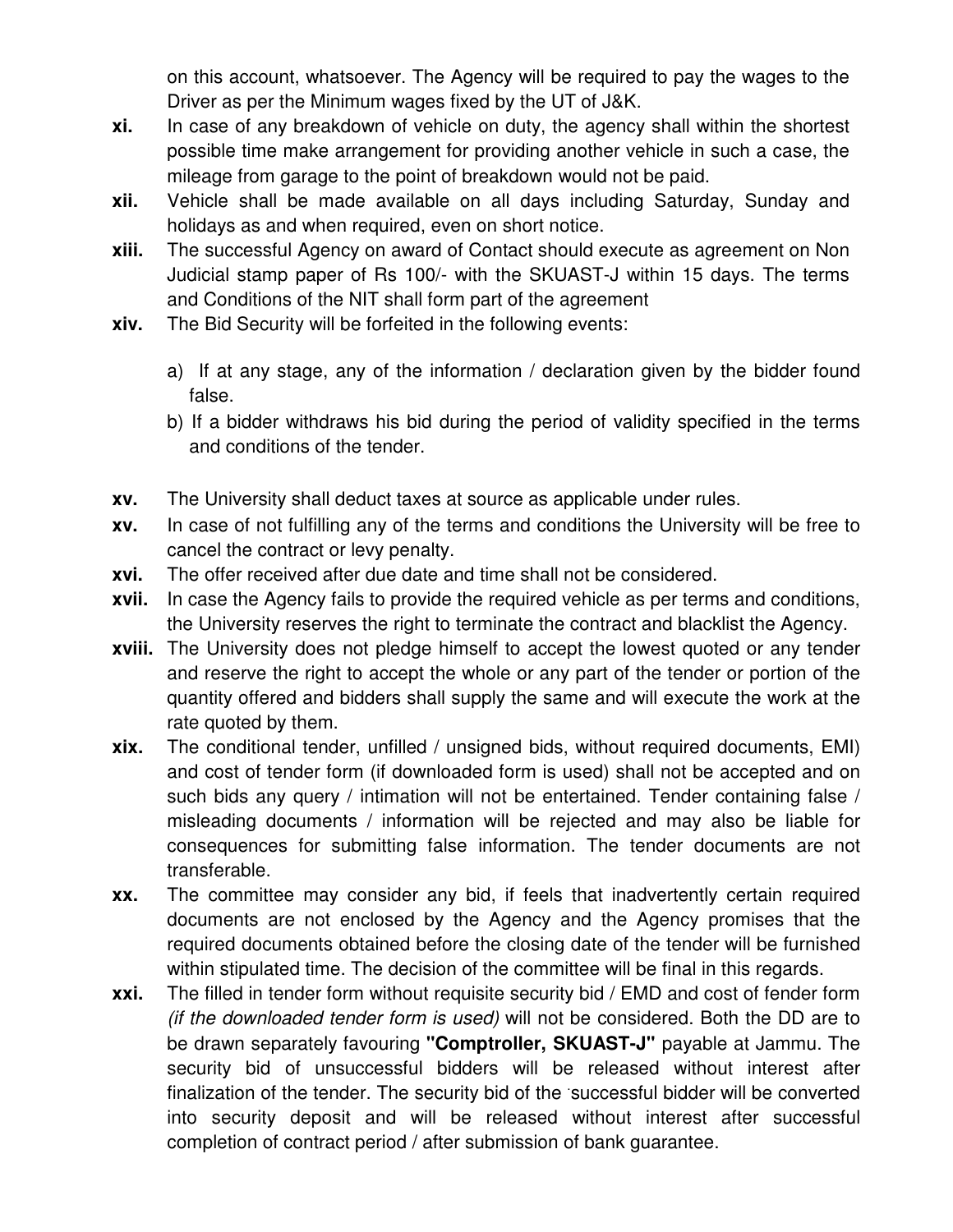on this account, whatsoever. The Agency will be required to pay the wages to the Driver as per the Minimum wages fixed by the UT of J&K.

- **xi.** In case of any breakdown of vehicle on duty, the agency shall within the shortest possible time make arrangement for providing another vehicle in such a case, the mileage from garage to the point of breakdown would not be paid.
- **xii.** Vehicle shall be made available on all days including Saturday, Sunday and holidays as and when required, even on short notice.
- **xiii.** The successful Agency on award of Contact should execute as agreement on Non Judicial stamp paper of Rs 100/- with the SKUAST-J within 15 days. The terms and Conditions of the NIT shall form part of the agreement
- **xiv.** The Bid Security will be forfeited in the following events:
	- a) If at any stage, any of the information / declaration given by the bidder found false.
	- b) If a bidder withdraws his bid during the period of validity specified in the terms and conditions of the tender.
- **xv.** The University shall deduct taxes at source as applicable under rules.
- **xv.** In case of not fulfilling any of the terms and conditions the University will be free to cancel the contract or levy penalty.
- **xvi.** The offer received after due date and time shall not be considered.
- **xvii.** In case the Agency fails to provide the required vehicle as per terms and conditions, the University reserves the right to terminate the contract and blacklist the Agency.
- **xviii.** The University does not pledge himself to accept the lowest quoted or any tender and reserve the right to accept the whole or any part of the tender or portion of the quantity offered and bidders shall supply the same and will execute the work at the rate quoted by them.
- **xix.** The conditional tender, unfilled / unsigned bids, without required documents, EMI) and cost of tender form (if downloaded form is used) shall not be accepted and on such bids any query / intimation will not be entertained. Tender containing false / misleading documents / information will be rejected and may also be liable for consequences for submitting false information. The tender documents are not transferable.
- **xx.** The committee may consider any bid, if feels that inadvertently certain required documents are not enclosed by the Agency and the Agency promises that the required documents obtained before the closing date of the tender will be furnished within stipulated time. The decision of the committee will be final in this regards.
- **xxi.** The filled in tender form without requisite security bid / EMD and cost of fender form (if the downloaded tender form is used) will not be considered. Both the DD are to be drawn separately favouring **"Comptroller, SKUAST-J"** payable at Jammu. The security bid of unsuccessful bidders will be released without interest after finalization of the tender. The security bid of the successful bidder will be converted into security deposit and will be released without interest after successful completion of contract period / after submission of bank guarantee.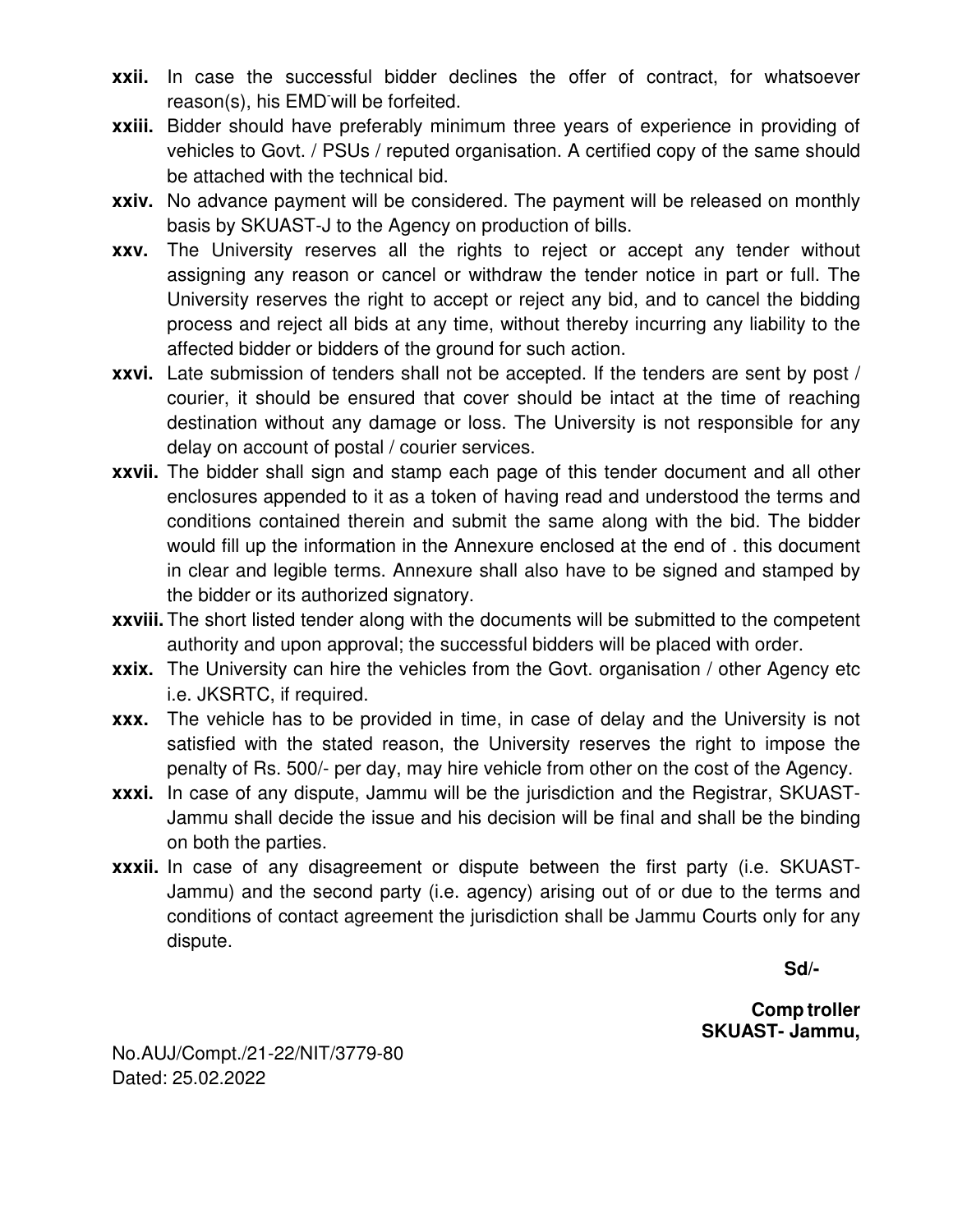- **xxii.** In case the successful bidder declines the offer of contract, for whatsoever reason(s), his EMD-will be forfeited.
- **xxiii.** Bidder should have preferably minimum three years of experience in providing of vehicles to Govt. / PSUs / reputed organisation. A certified copy of the same should be attached with the technical bid.
- **xxiv.** No advance payment will be considered. The payment will be released on monthly basis by SKUAST-J to the Agency on production of bills.
- **xxv.** The University reserves all the rights to reject or accept any tender without assigning any reason or cancel or withdraw the tender notice in part or full. The University reserves the right to accept or reject any bid, and to cancel the bidding process and reject all bids at any time, without thereby incurring any liability to the affected bidder or bidders of the ground for such action.
- **xxvi.** Late submission of tenders shall not be accepted. If the tenders are sent by post / courier, it should be ensured that cover should be intact at the time of reaching destination without any damage or loss. The University is not responsible for any delay on account of postal / courier services.
- **xxvii.** The bidder shall sign and stamp each page of this tender document and all other enclosures appended to it as a token of having read and understood the terms and conditions contained therein and submit the same along with the bid. The bidder would fill up the information in the Annexure enclosed at the end of . this document in clear and legible terms. Annexure shall also have to be signed and stamped by the bidder or its authorized signatory.
- **xxviii.** The short listed tender along with the documents will be submitted to the competent authority and upon approval; the successful bidders will be placed with order.
- **xxix.** The University can hire the vehicles from the Govt. organisation / other Agency etc i.e. JKSRTC, if required.
- **xxx.** The vehicle has to be provided in time, in case of delay and the University is not satisfied with the stated reason, the University reserves the right to impose the penalty of Rs. 500/- per day, may hire vehicle from other on the cost of the Agency.
- **xxxi.** In case of any dispute, Jammu will be the jurisdiction and the Registrar, SKUAST-Jammu shall decide the issue and his decision will be final and shall be the binding on both the parties.
- **xxxii.** In case of any disagreement or dispute between the first party (i.e. SKUAST-Jammu) and the second party (i.e. agency) arising out of or due to the terms and conditions of contact agreement the jurisdiction shall be Jammu Courts only for any dispute.

 **Sd/-** 

**Comp troller SKUAST- Jammu,** 

No.AUJ/Compt./21-22/NIT/3779-80 Dated: 25.02.2022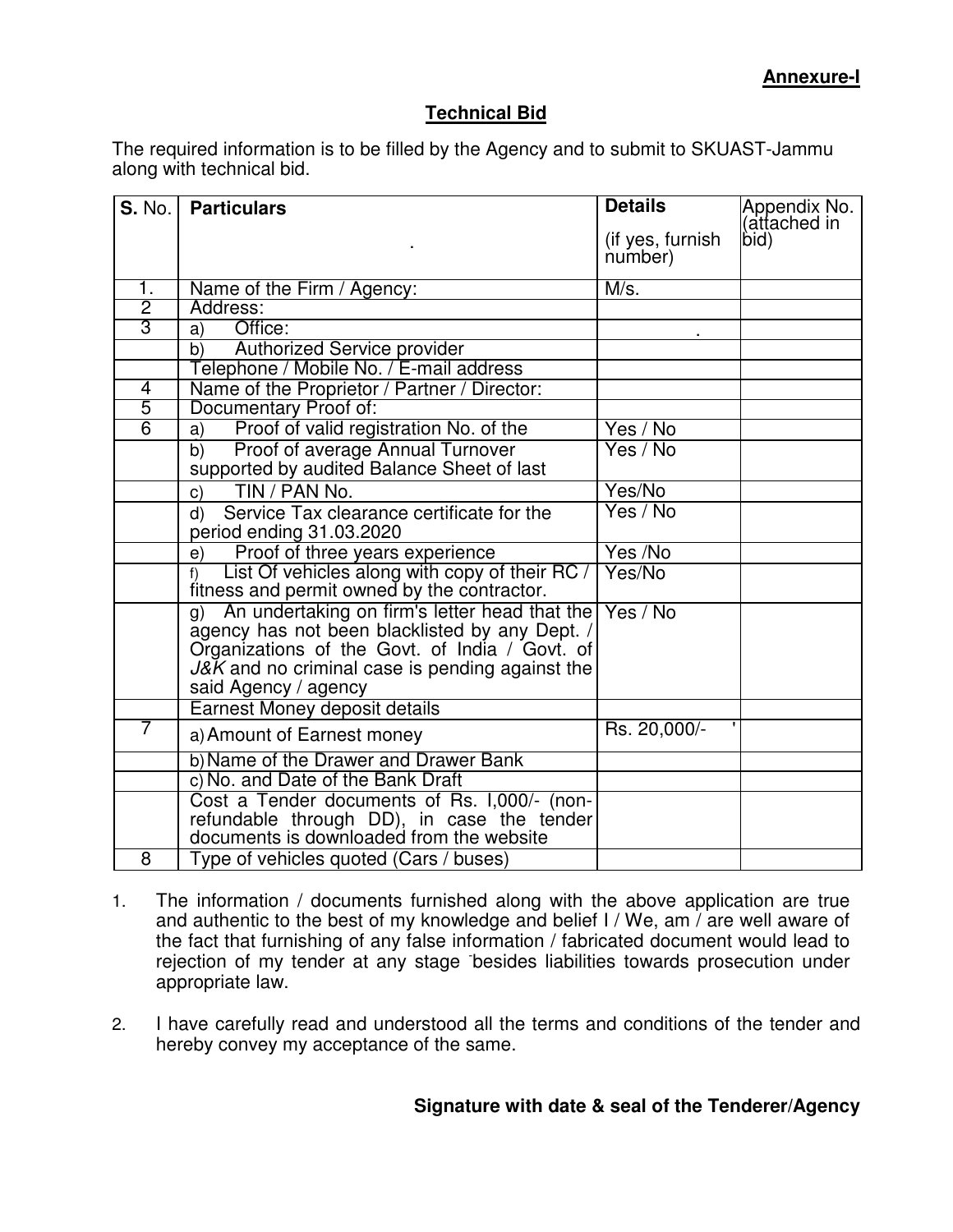### **Technical Bid**

The required information is to be filled by the Agency and to submit to SKUAST-Jammu along with technical bid.

| <b>S. No.</b>  | <b>Particulars</b>                                                                                                                                                                                                                 | <b>Details</b>              | Appendix No.  <br>(attached in |
|----------------|------------------------------------------------------------------------------------------------------------------------------------------------------------------------------------------------------------------------------------|-----------------------------|--------------------------------|
|                |                                                                                                                                                                                                                                    | (if yes, furnish<br>number) | bid)                           |
| 1.             | Name of the Firm / Agency:                                                                                                                                                                                                         | M/s.                        |                                |
| $\overline{2}$ | Address:                                                                                                                                                                                                                           |                             |                                |
| $\overline{3}$ | Office:<br>a)                                                                                                                                                                                                                      |                             |                                |
|                | <b>Authorized Service provider</b><br>b)                                                                                                                                                                                           |                             |                                |
|                | Telephone / Mobile No. / E-mail address                                                                                                                                                                                            |                             |                                |
| 4              | Name of the Proprietor / Partner / Director:                                                                                                                                                                                       |                             |                                |
| $\overline{5}$ | Documentary Proof of:                                                                                                                                                                                                              |                             |                                |
| $\overline{6}$ | Proof of valid registration No. of the<br>a)                                                                                                                                                                                       | Yes / No                    |                                |
|                | Proof of average Annual Turnover<br>$\overline{b)}$<br>supported by audited Balance Sheet of last                                                                                                                                  | Yes / No                    |                                |
|                | TIN / PAN No.<br>C)                                                                                                                                                                                                                | Yes/No                      |                                |
|                | Service Tax clearance certificate for the<br>d)<br>period ending 31.03.2020                                                                                                                                                        | Yes / No                    |                                |
|                | e)<br>Proof of three years experience                                                                                                                                                                                              | Yes /No                     |                                |
|                | List Of vehicles along with copy of their RC /<br>$f$ )<br>fitness and permit owned by the contractor.                                                                                                                             | Yes/No                      |                                |
|                | An undertaking on firm's letter head that the<br>g)<br>agency has not been blacklisted by any Dept. /<br>Organizations of the Govt. of India / Govt. of<br>J&K and no criminal case is pending against the<br>said Agency / agency | Yes / No                    |                                |
|                | Earnest Money deposit details                                                                                                                                                                                                      |                             |                                |
| 7              | a) Amount of Earnest money                                                                                                                                                                                                         | Rs. 20,000/-                |                                |
|                | b) Name of the Drawer and Drawer Bank                                                                                                                                                                                              |                             |                                |
|                | c) No. and Date of the Bank Draft                                                                                                                                                                                                  |                             |                                |
|                | Cost a Tender documents of Rs. 1,000/- (non-<br>refundable through DD), in case the tender<br>documents is downloaded from the website                                                                                             |                             |                                |
| 8              | Type of vehicles quoted (Cars / buses)                                                                                                                                                                                             |                             |                                |

- 1. The information / documents furnished along with the above application are true and authentic to the best of my knowledge and belief I / We, am  $\frac{1}{4}$  are well aware of the fact that furnishing of any false information / fabricated document would lead to rejection of my tender at any stage - besides liabilities towards prosecution under appropriate law.
- 2. I have carefully read and understood all the terms and conditions of the tender and hereby convey my acceptance of the same.

**Signature with date & seal of the Tenderer/Agency**